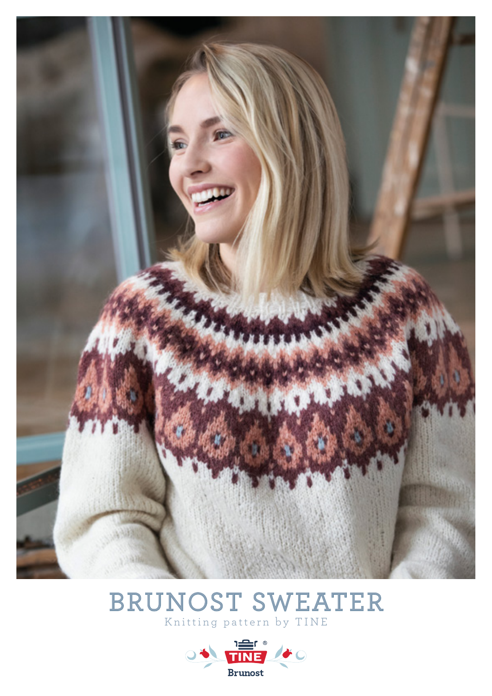

# BRUNOST SWEATER Knitting pattern by TINE

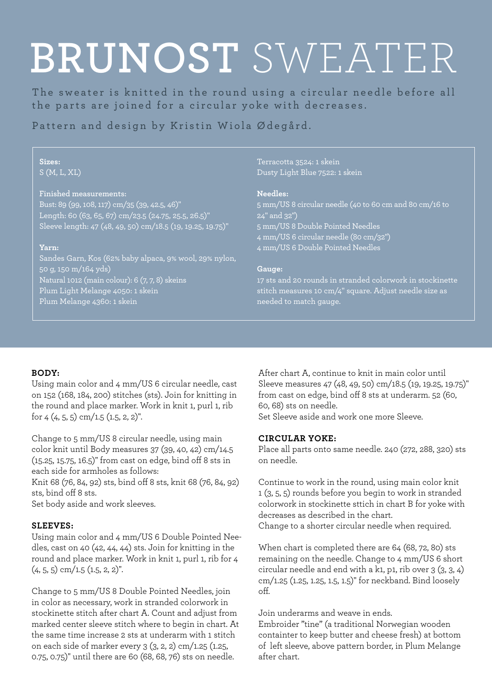# Ermelengde: 47 (48) 48 (50) 51 cm **Garn:** 300 (350) 400 (400) 450 g **BRUNOST** SWEATER

Finull fra Rauma garn fg. 411 brunmelert The sweater is knitted in the round using a circular needle before all the parts are joined for a circular yoke with decreases.

50 g for alle str. Finull fra Rauma garn fg. 4197 oker Pattern and design by Kristin Wiola Ødegård.

#### $S(M, L, XL)$ **Sizes:**

### 25 m x 30 omg i mønsterstrikk på **Finished measurements:**

Bust: 89 (99, 108, 117) cm/35 (39, 42.5, 46)" Length: 60 (63, 65, 67) cm/23.5 (24.75, 25.5, 26.5)" Sleeve length: 47 (48, 49, 50) cm/18.5 (19, 19.25, 19.75)"

### **Yarn:**

**Pinner:** Sandes Garn, Kos (62% baby alpaca, 9% wool, 29% nylon, 50 g, 150 m/164 yds) anno 100 cm nr. 30 cm nr. 30 cm nr. 30 cm nr. 30 cm nr. 30 cm nr. 30 cm nr. 30 cm nr. 30 Natural 1012 (main colour): 6 (7, 7, 8) skeins Plum Light Melange 4050: 1 skein Plum Melange 4360: 1 skein

# Terracotta 3524: 1 skein Dusty Light Blue 7522: 1 skein

### **Needles:**

5 mm/US 8 circular needle (40 to 60 cm and 80 cm/16 to 24" and 32") 5 mm/US 8 Double Pointed Needles 4 mm/US 6 circular needle (80 cm/32") 4 mm/US 6 Double Pointed Needles

# **Gauge:**

17 sts and 20 rounds in stranded colorwork in stockinette stitch measures 10 cm/4" square. Adjust needle size as needed to match gauge.

# **BODY:**

Using main color and 4 mm/US 6 circular needle, cast on 152 (168, 184, 200) stitches (sts). Join for knitting in the round and place marker. Work in knit 1, purl 1, rib for  $4$   $(4, 5, 5)$  cm/1.5  $(1.5, 2, 2)$ ".

Change to 5 mm/US 8 circular needle, using main color knit until Body measures 37 (39, 40, 42) cm/14.5 (15.25, 15.75, 16.5)" from cast on edge, bind off 8 sts in each side for armholes as follows:

Knit 68 (76, 84, 92) sts, bind off 8 sts, knit 68 (76, 84, 92) sts, bind off 8 sts.

Set body aside and work sleeves.

# **SLEEVES:**

Using main color and 4 mm/US 6 Double Pointed Needles, cast on 40 (42, 44, 44) sts. Join for knitting in the round and place marker. Work in knit 1, purl 1, rib for 4  $(4, 5, 5)$  cm/1.5  $(1.5, 2, 2)$ ".

Change to 5 mm/US 8 Double Pointed Needles, join in color as necessary, work in stranded colorwork in stockinette stitch after chart A. Count and adjust from marked center sleeve stitch where to begin in chart. At the same time increase 2 sts at underarm with 1 stitch on each side of marker every 3 (3, 2, 2) cm/1.25 (1.25, 0.75, 0.75)" until there are 60 (68, 68, 76) sts on needle.

After chart A, continue to knit in main color until Sleeve measures 47 (48, 49, 50) cm/18.5 (19, 19.25, 19.75)" from cast on edge, bind off 8 sts at underarm. 52 (60, 60, 68) sts on needle.

Set Sleeve aside and work one more Sleeve.

# **CIRCULAR YOKE:**

Place all parts onto same needle. 240 (272, 288, 320) sts on needle.

Continue to work in the round, using main color knit 1 (3, 5, 5) rounds before you begin to work in stranded colorwork in stockinette sttich in chart B for yoke with decreases as described in the chart. Change to a shorter circular needle when required.

When chart is completed there are 64 (68, 72, 80) sts remaining on the needle. Change to 4 mm/US 6 short circular needle and end with a k1, p1, rib over 3 (3, 3, 4) cm/1.25 (1.25, 1.25, 1.5, 1.5)" for neckband. Bind loosely off.

Join underarms and weave in ends.

Embroider "tine" (a traditional Norwegian wooden containter to keep butter and cheese fresh) at bottom of left sleeve, above pattern border, in Plum Melange after chart.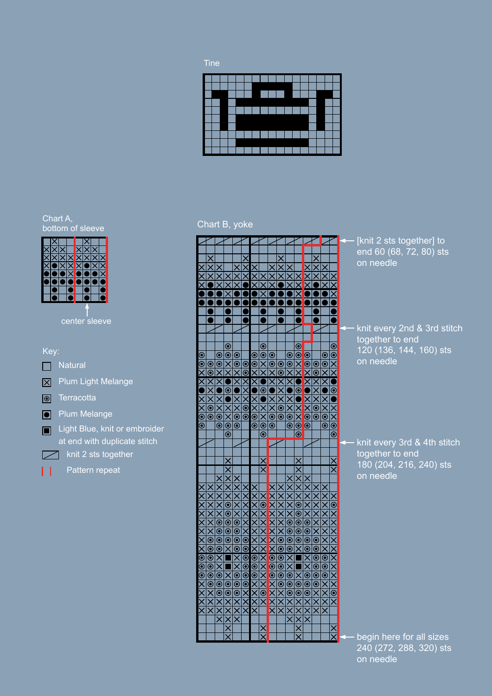

## Chart A, bottom of sleeve



center sleeve



# Chart B, yoke

|                                  | $\frac{1}{\times}$                                                  |                        |                                                                    |                                       | $\times$                                |                                |                                                              |                                                 | $\times$                                                                                                                                                                                                             | $\times$                             |                                                           |                               |                                                                                          | X                                 |                                   |
|----------------------------------|---------------------------------------------------------------------|------------------------|--------------------------------------------------------------------|---------------------------------------|-----------------------------------------|--------------------------------|--------------------------------------------------------------|-------------------------------------------------|----------------------------------------------------------------------------------------------------------------------------------------------------------------------------------------------------------------------|--------------------------------------|-----------------------------------------------------------|-------------------------------|------------------------------------------------------------------------------------------|-----------------------------------|-----------------------------------|
| $\times$ $\times$                |                                                                     |                        |                                                                    | $\times$                              |                                         |                                |                                                              | $\overline{\mathsf{x}}$                         |                                                                                                                                                                                                                      |                                      |                                                           | $\times$                      | $\frac{1}{\times}$                                                                       |                                   |                                   |
|                                  |                                                                     |                        |                                                                    |                                       |                                         |                                |                                                              | $\frac{1}{\mathsf{X}}$                          |                                                                                                                                                                                                                      | ミ                                    | $\frac{X}{X}$                                             |                               |                                                                                          | $\frac{1}{\mathsf{X}}$            | $\frac{X}{X}$                     |
|                                  |                                                                     |                        |                                                                    |                                       |                                         |                                |                                                              |                                                 |                                                                                                                                                                                                                      |                                      |                                                           |                               |                                                                                          |                                   |                                   |
|                                  |                                                                     |                        | $\overline{\mathsf{x}}$                                            |                                       |                                         |                                | <u>XIX</u>                                                   |                                                 |                                                                                                                                                                                                                      |                                      | $\overline{\mathsf{x}}$                                   |                               |                                                                                          |                                   | $\overline{\mathsf{x}}$           |
|                                  |                                                                     |                        |                                                                    |                                       |                                         |                                |                                                              |                                                 |                                                                                                                                                                                                                      |                                      |                                                           |                               |                                                                                          |                                   |                                   |
|                                  |                                                                     |                        |                                                                    |                                       |                                         |                                |                                                              |                                                 |                                                                                                                                                                                                                      |                                      |                                                           |                               |                                                                                          |                                   |                                   |
|                                  |                                                                     |                        |                                                                    |                                       |                                         |                                |                                                              |                                                 |                                                                                                                                                                                                                      |                                      |                                                           |                               |                                                                                          |                                   |                                   |
|                                  |                                                                     |                        |                                                                    |                                       |                                         |                                |                                                              |                                                 |                                                                                                                                                                                                                      |                                      |                                                           |                               |                                                                                          |                                   |                                   |
|                                  |                                                                     |                        |                                                                    |                                       |                                         |                                |                                                              |                                                 |                                                                                                                                                                                                                      |                                      |                                                           |                               |                                                                                          |                                   |                                   |
|                                  |                                                                     |                        |                                                                    |                                       |                                         |                                |                                                              |                                                 |                                                                                                                                                                                                                      |                                      |                                                           |                               |                                                                                          |                                   |                                   |
|                                  |                                                                     |                        | $\frac{1}{\infty}$                                                 |                                       |                                         |                                | $\frac{1}{\infty}$                                           |                                                 |                                                                                                                                                                                                                      |                                      |                                                           |                               |                                                                                          |                                   |                                   |
|                                  |                                                                     |                        |                                                                    | $\overline{\overset{\odot}{\bullet}}$ |                                         |                                |                                                              |                                                 |                                                                                                                                                                                                                      |                                      |                                                           |                               |                                                                                          |                                   |                                   |
| $\bullet$ XX $\bullet$ $\bullet$ | $\overline{\overset{\odot}{\bullet}}$                               | $\frac{1}{\infty}$     |                                                                    |                                       | $\overline{\overset{\odot}{\bullet}}$   | $\frac{\bullet}{\mathbf{X}}$   | $\overline{\mathbf{x}}$                                      | $\frac{1}{\infty}$                              | $\overline{\overset{\odot}{\circ}}$                                                                                                                                                                                  | $\bullet$ XX $\bullet$ $\circ$       | $\bullet$ X X 0 0 $\bullet$                               | $\bullet$ XXIXI $\bullet$     | $\overline{\overset{\odot}{\bullet}}$                                                    | $ \mathcal{S} \mathcal{O} \times$ | $\bullet$ XX00                    |
|                                  |                                                                     |                        |                                                                    | $\overline{\mathsf{x}}$               |                                         |                                |                                                              | $\overline{\mathsf{x}}$                         | $\bar{\mathsf{x}}$                                                                                                                                                                                                   |                                      |                                                           |                               | $\overline{\mathsf{x}}$                                                                  | $\frac{1}{2}$                     |                                   |
|                                  |                                                                     | $\frac{1}{\sqrt{2}}$   |                                                                    |                                       |                                         |                                |                                                              |                                                 |                                                                                                                                                                                                                      |                                      |                                                           |                               |                                                                                          |                                   |                                   |
| X X                              | $ {\mathbb{O}} {\mathbb{O}} {\mathbb{X}} {\mathbb{X}} {\mathbb{X}}$ | $\frac{1}{2}$ $\times$ | $\bullet$ $\mid$ $\bullet$ $\mid$ $\times$ $\mid$ $\bullet$ $\mid$ |                                       | $ \mathcal{S} \mathcal{X} \mathcal{X} $ |                                | $  \, \bullet   \times   \times   \, \bullet   \, \bullet  $ |                                                 | $ X \delta$                                                                                                                                                                                                          | $ \mathbf{S} \mathbf{S} \mathbf{S} $ | $\bullet$ $\bullet$ $\times$ $\times$ $\bullet$ $\bullet$ | X X 0                         | $ S \mathcal{S} $                                                                        |                                   | $\frac{\bullet}{\bullet}$         |
|                                  |                                                                     |                        |                                                                    |                                       |                                         |                                |                                                              |                                                 |                                                                                                                                                                                                                      |                                      |                                                           |                               |                                                                                          |                                   |                                   |
|                                  |                                                                     |                        |                                                                    | $ X \times$                           |                                         | $ X  \times 10$                |                                                              | $ \mathbf{0} \mathbf{0} \mathbf{X} \mathbf{X} $ |                                                                                                                                                                                                                      |                                      |                                                           |                               |                                                                                          | $ S  \geqslant  S $               | $\odot$ $\odot$ $\times$ $\times$ |
|                                  |                                                                     |                        |                                                                    |                                       |                                         |                                |                                                              |                                                 |                                                                                                                                                                                                                      |                                      |                                                           |                               |                                                                                          |                                   |                                   |
|                                  |                                                                     |                        |                                                                    |                                       |                                         |                                |                                                              |                                                 |                                                                                                                                                                                                                      |                                      |                                                           |                               |                                                                                          |                                   |                                   |
|                                  |                                                                     |                        |                                                                    |                                       |                                         |                                |                                                              |                                                 |                                                                                                                                                                                                                      |                                      |                                                           |                               |                                                                                          |                                   |                                   |
|                                  |                                                                     |                        |                                                                    |                                       |                                         |                                |                                                              |                                                 |                                                                                                                                                                                                                      |                                      |                                                           |                               |                                                                                          |                                   |                                   |
|                                  |                                                                     |                        |                                                                    |                                       |                                         |                                |                                                              |                                                 |                                                                                                                                                                                                                      |                                      |                                                           |                               |                                                                                          |                                   |                                   |
|                                  |                                                                     |                        |                                                                    |                                       |                                         |                                |                                                              |                                                 |                                                                                                                                                                                                                      |                                      |                                                           |                               |                                                                                          |                                   |                                   |
|                                  |                                                                     |                        | ×                                                                  |                                       |                                         |                                |                                                              |                                                 |                                                                                                                                                                                                                      |                                      |                                                           |                               |                                                                                          |                                   |                                   |
|                                  |                                                                     |                        |                                                                    |                                       |                                         |                                | $\frac{1}{\times}$                                           |                                                 |                                                                                                                                                                                                                      |                                      |                                                           |                               |                                                                                          |                                   | $\times$                          |
|                                  |                                                                     |                        |                                                                    |                                       |                                         |                                |                                                              |                                                 |                                                                                                                                                                                                                      |                                      |                                                           |                               |                                                                                          |                                   |                                   |
|                                  |                                                                     |                        |                                                                    |                                       |                                         |                                |                                                              |                                                 |                                                                                                                                                                                                                      |                                      |                                                           |                               |                                                                                          |                                   |                                   |
|                                  |                                                                     |                        |                                                                    |                                       |                                         |                                |                                                              |                                                 |                                                                                                                                                                                                                      |                                      |                                                           |                               |                                                                                          |                                   |                                   |
|                                  |                                                                     |                        |                                                                    |                                       |                                         |                                |                                                              |                                                 | X X X                                                                                                                                                                                                                |                                      |                                                           |                               |                                                                                          | $\frac{1}{\times}$                |                                   |
|                                  |                                                                     |                        |                                                                    |                                       |                                         |                                |                                                              |                                                 |                                                                                                                                                                                                                      |                                      |                                                           |                               |                                                                                          |                                   |                                   |
|                                  |                                                                     |                        |                                                                    |                                       |                                         |                                |                                                              |                                                 | $\frac{1}{\times}$                                                                                                                                                                                                   |                                      |                                                           |                               | XXXXX                                                                                    |                                   | XISIXX                            |
|                                  |                                                                     |                        |                                                                    |                                       |                                         |                                |                                                              |                                                 |                                                                                                                                                                                                                      |                                      |                                                           |                               |                                                                                          |                                   |                                   |
|                                  |                                                                     |                        |                                                                    |                                       |                                         |                                |                                                              |                                                 |                                                                                                                                                                                                                      |                                      |                                                           |                               |                                                                                          |                                   |                                   |
|                                  |                                                                     |                        |                                                                    |                                       |                                         |                                |                                                              |                                                 |                                                                                                                                                                                                                      |                                      |                                                           |                               |                                                                                          |                                   |                                   |
|                                  |                                                                     |                        | WXXX®®®                                                            |                                       |                                         |                                |                                                              |                                                 |                                                                                                                                                                                                                      |                                      | X ® ® ® ® X X X X                                         |                               |                                                                                          |                                   |                                   |
|                                  |                                                                     |                        |                                                                    |                                       |                                         |                                |                                                              |                                                 |                                                                                                                                                                                                                      |                                      |                                                           |                               |                                                                                          |                                   |                                   |
|                                  |                                                                     |                        |                                                                    |                                       |                                         |                                |                                                              |                                                 |                                                                                                                                                                                                                      |                                      |                                                           |                               |                                                                                          |                                   |                                   |
|                                  |                                                                     |                        |                                                                    |                                       |                                         |                                |                                                              |                                                 |                                                                                                                                                                                                                      |                                      |                                                           |                               |                                                                                          |                                   |                                   |
|                                  |                                                                     |                        |                                                                    |                                       |                                         |                                |                                                              |                                                 |                                                                                                                                                                                                                      |                                      |                                                           |                               |                                                                                          |                                   |                                   |
|                                  |                                                                     |                        |                                                                    |                                       |                                         |                                |                                                              |                                                 |                                                                                                                                                                                                                      |                                      |                                                           |                               |                                                                                          |                                   |                                   |
| Χ Χ Χ Χ Χ Χ Χ Χ Χ Χ Χ Χ          |                                                                     |                        |                                                                    |                                       |                                         |                                | XOXXXXXXXXXXXOX                                              |                                                 |                                                                                                                                                                                                                      |                                      |                                                           |                               | $\times  \mathcal{O} \mathcal{O} \mathcal{O} \mathcal{O} \mathcal{O} \mathcal{O} \times$ | XXX @ @ @ XX X X                  | X O X X X X X X X                 |
| $\overline{\mathsf{x}}$          | x x x x @ @ @ @ @ X X X X                                           |                        |                                                                    |                                       | X X X 0 0 0 0 0 X X X X X               | <u>x X X X X X X X X X X X</u> |                                                              | Χ Χ Χ Θ Θ δ Χ Χ Χ Χ Χ Χ Χ                       | $ \lambda _{{\color{blue}\bullet}\mathll{}} \lambda _{{\color{blue}\bullet}\mathll{}} \lambda _{{\color{blue}\bullet}\mathll{}} \lambda _{{\color{blue}\bullet}\mathll{}} \lambda _{{\color{blue}\bullet}\mathll{}}$ |                                      |                                                           |                               | $\overline{\mathsf{x}}$                                                                  |                                   |                                   |
|                                  |                                                                     | XXX@@XX@@XXXXXXXX      |                                                                    | X X X © © © X X © © © X X X X         |                                         |                                |                                                              |                                                 |                                                                                                                                                                                                                      | X X X © © © X X © © © X X X X        | $ X \delta $ $\geqslant$                                  | X X X © © © X X © © © X X X X |                                                                                          |                                   |                                   |
|                                  |                                                                     |                        | XXXXXI@OX                                                          |                                       |                                         |                                |                                                              |                                                 |                                                                                                                                                                                                                      |                                      |                                                           |                               |                                                                                          |                                   |                                   |

# [knit 2 sts together] to end 60 (68, 72, 80) sts on needle

knit every 2nd & 3rd stitch together to end 120 (136, 144, 160) sts on needle

- knit every 3rd & 4th stitch together to end 180 (204, 216, 240) sts on needle

begin here for all sizes 240 (272, 288, 320) sts on needle begin here for all sizes